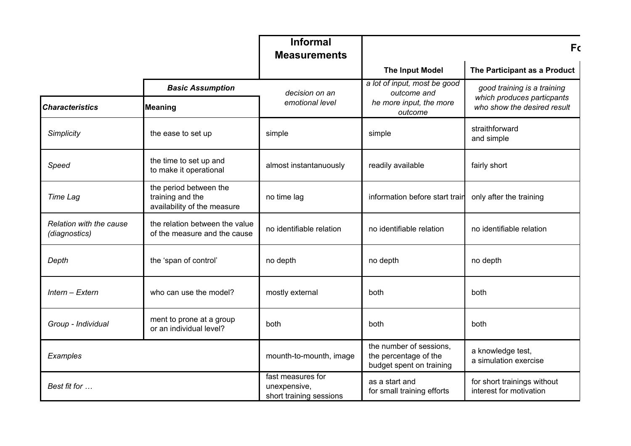|                                          |                                                                           | <b>Informal</b><br><b>Measurements</b>                       |                                                                              | <b>Fc</b>                                                 |
|------------------------------------------|---------------------------------------------------------------------------|--------------------------------------------------------------|------------------------------------------------------------------------------|-----------------------------------------------------------|
|                                          |                                                                           |                                                              | <b>The Input Model</b>                                                       | The Participant as a Product                              |
|                                          | <b>Basic Assumption</b>                                                   | decision on an                                               | a lot of input, most be good<br>outcome and                                  | good training is a training                               |
| <b>Characteristics</b>                   | <b>Meaning</b>                                                            | emotional level                                              | he more input, the more<br>outcome                                           | which produces particpants<br>who show the desired result |
| Simplicity                               | the ease to set up                                                        | simple                                                       | simple                                                                       | straithforward<br>and simple                              |
| Speed                                    | the time to set up and<br>to make it operational                          | almost instantanuously                                       | readily available                                                            | fairly short                                              |
| Time Lag                                 | the period between the<br>training and the<br>availability of the measure | no time lag                                                  | information before start train                                               | only after the training                                   |
| Relation with the cause<br>(diagnostics) | the relation between the value<br>of the measure and the cause            | no identifiable relation                                     | no identifiable relation                                                     | no identifiable relation                                  |
| Depth                                    | the 'span of control'                                                     | no depth                                                     | no depth                                                                     | no depth                                                  |
| Intern - Extern                          | who can use the model?                                                    | mostly external                                              | both                                                                         | both                                                      |
| Group - Individual                       | ment to prone at a group<br>or an individual level?                       | both                                                         | both                                                                         | both                                                      |
| Examples                                 |                                                                           | mounth-to-mounth, image                                      | the number of sessions,<br>the percentage of the<br>budget spent on training | a knowledge test,<br>a simulation exercise                |
| Best fit for                             |                                                                           | fast measures for<br>unexpensive,<br>short training sessions | as a start and<br>for small training efforts                                 | for short trainings without<br>interest for motivation    |